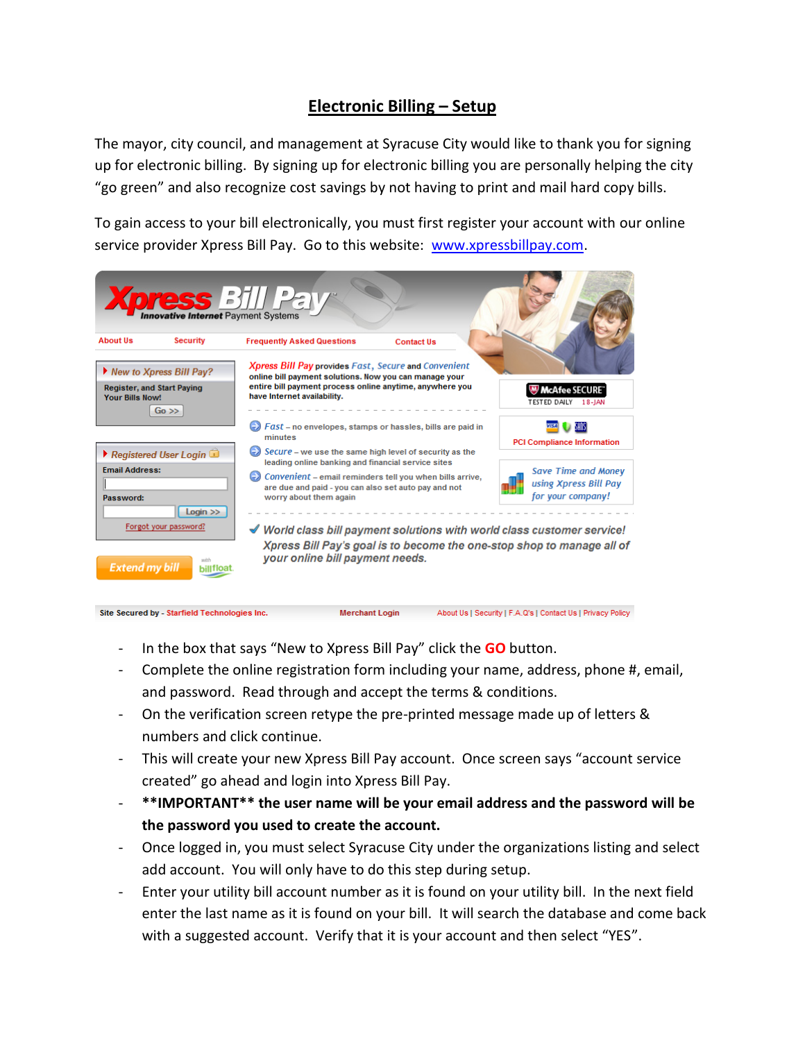## **Electronic Billing – Setup**

The mayor, city council, and management at Syracuse City would like to thank you for signing up for electronic billing. By signing up for electronic billing you are personally helping the city "go green" and also recognize cost savings by not having to print and mail hard copy bills.

To gain access to your bill electronically, you must first register your account with our online service provider Xpress Bill Pay. Go to this website: [www.xpressbillpay.com.](http://www.xpressbillpay.com/)

|                                                             |                                                                     | <b>Xpress</b> Bill Pall                                                                                                                                                                                                                                                                                                                                                                                                              |                                                                          |
|-------------------------------------------------------------|---------------------------------------------------------------------|--------------------------------------------------------------------------------------------------------------------------------------------------------------------------------------------------------------------------------------------------------------------------------------------------------------------------------------------------------------------------------------------------------------------------------------|--------------------------------------------------------------------------|
| <b>About Us</b>                                             | <b>Security</b>                                                     | <b>Frequently Asked Questions</b><br><b>Contact Us</b>                                                                                                                                                                                                                                                                                                                                                                               |                                                                          |
| <b>Register, and Start Paying</b><br><b>Your Bills Now!</b> | New to Xpress Bill Pay?<br>$Go \gg$                                 | <b>Xpress Bill Pay provides Fast, Secure and Convenient</b><br>online bill payment solutions. Now you can manage your<br>entire bill payment process online anytime, anywhere you<br>have Internet availability.                                                                                                                                                                                                                     | <b>W</b> McAfee SECURE"<br>TESTED DAILY<br>$18 - IAN$                    |
|                                                             |                                                                     | Fast – no envelopes, stamps or hassles, bills are paid in<br>minutes                                                                                                                                                                                                                                                                                                                                                                 | <b>PCI Compliance Information</b>                                        |
| <b>Fmail Address:</b><br>Password:                          | Registered User Login<br>$Login$ $\gg$<br>Forgot your password?     | $\bullet$ Secure – we use the same high level of security as the<br>leading online banking and financial service sites<br>Convenient – email reminders tell you when bills arrive.<br>are due and paid - you can also set auto pay and not<br>worry about them again<br>$\mathscr A$ World class bill payment solutions with world class customer service!<br>Xpress Bill Pay's goal is to become the one-stop shop to manage all of | <b>Save Time and Money</b><br>using Xpress Bill Pay<br>for your company! |
| <b>Extend my bill</b>                                       | with<br>billfloat.<br>Site Secured by - Starfield Technologies Inc. | your online bill payment needs.<br><b>Merchant Login</b>                                                                                                                                                                                                                                                                                                                                                                             | About Us   Security   F.A.Q's   Contact Us   Privacy Policy              |

- In the box that says "New to Xpress Bill Pay" click the **GO** button.
- Complete the online registration form including your name, address, phone #, email, and password. Read through and accept the terms & conditions.
- On the verification screen retype the pre-printed message made up of letters & numbers and click continue.
- This will create your new Xpress Bill Pay account. Once screen says "account service created" go ahead and login into Xpress Bill Pay.
- **\*\*IMPORTANT\*\* the user name will be your email address and the password will be the password you used to create the account.**
- Once logged in, you must select Syracuse City under the organizations listing and select add account. You will only have to do this step during setup.
- Enter your utility bill account number as it is found on your utility bill. In the next field enter the last name as it is found on your bill. It will search the database and come back with a suggested account. Verify that it is your account and then select "YES".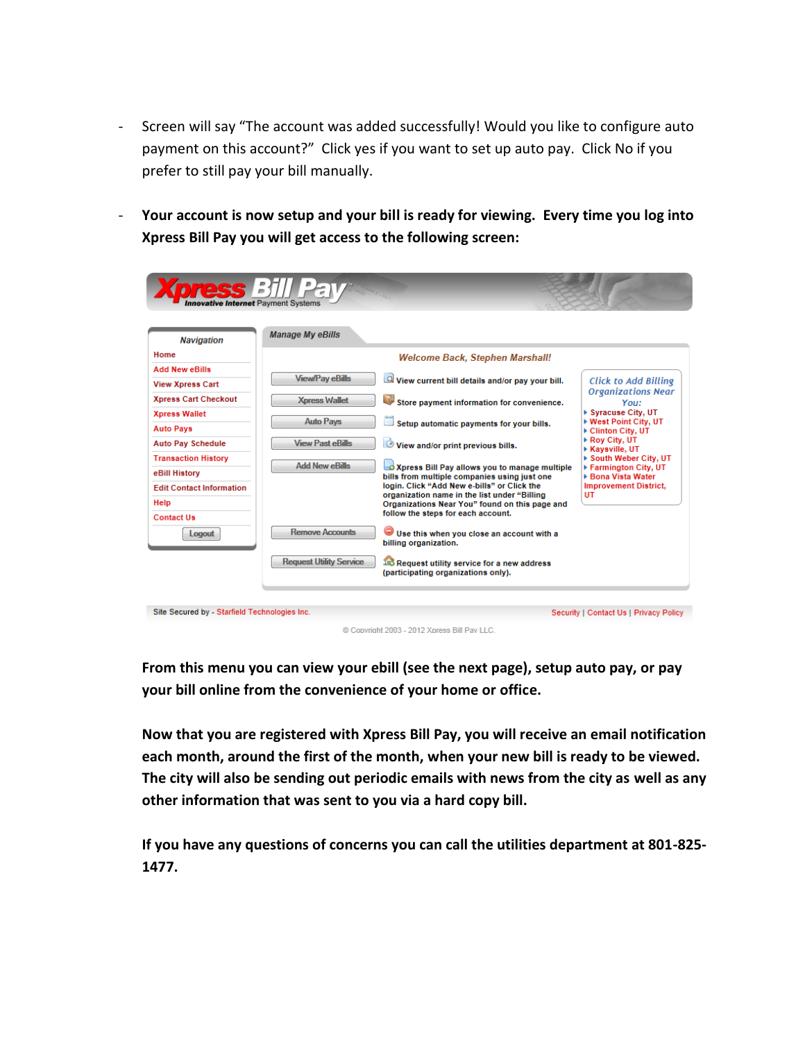- Screen will say "The account was added successfully! Would you like to configure auto payment on this account?" Click yes if you want to set up auto pay. Click No if you prefer to still pay your bill manually.
- **Your account is now setup and your bill is ready for viewing. Every time you log into Xpress Bill Pay you will get access to the following screen:**

| <b>Navigation</b>               | <b>Manage My eBills</b>                |                                                                                                |                                                    |  |  |  |
|---------------------------------|----------------------------------------|------------------------------------------------------------------------------------------------|----------------------------------------------------|--|--|--|
| Home                            | <b>Welcome Back, Stephen Marshall!</b> |                                                                                                |                                                    |  |  |  |
| <b>Add New eBills</b>           |                                        |                                                                                                |                                                    |  |  |  |
| <b>View Xpress Cart</b>         | <b>View/Pay eBills</b>                 | $\Box$ View current bill details and/or pay your bill.                                         | <b>Click to Add Billing</b>                        |  |  |  |
| <b>Xpress Cart Checkout</b>     | <b>Xpress Wallet</b>                   | Store payment information for convenience.                                                     | <b>Organizations Near</b><br>You:                  |  |  |  |
| <b>Xpress Wallet</b>            |                                        |                                                                                                | ▶ Syracuse City, UT                                |  |  |  |
| <b>Auto Pays</b>                | <b>Auto Pays</b>                       | Setup automatic payments for your bills.                                                       | ▶ West Point City, UT<br>▶ Clinton City, UT        |  |  |  |
| <b>Auto Pay Schedule</b>        | <b>View Past eBills</b>                | View and/or print previous bills.                                                              | Roy City, UT                                       |  |  |  |
| <b>Transaction History</b>      |                                        |                                                                                                | <b>Kavsville, UT</b><br>South Weber City, UT       |  |  |  |
| eBill History                   | <b>Add New eBills</b>                  | Xpress Bill Pay allows you to manage multiple                                                  | ▶ Farmington City, UT                              |  |  |  |
| <b>Edit Contact Information</b> |                                        | bills from multiple companies using just one<br>login, Click "Add New e-bills" or Click the    | ▶ Bona Vista Water<br><b>Improvement District,</b> |  |  |  |
| <b>Help</b>                     |                                        | organization name in the list under "Billing<br>Organizations Near You" found on this page and | UT                                                 |  |  |  |
| <b>Contact Us</b>               |                                        | follow the steps for each account.                                                             |                                                    |  |  |  |
|                                 | <b>Remove Accounts</b>                 |                                                                                                |                                                    |  |  |  |
| <b>Logout</b>                   |                                        | Use this when you close an account with a<br>billing organization.                             |                                                    |  |  |  |
|                                 | <b>Request Utility Service</b>         |                                                                                                |                                                    |  |  |  |
|                                 |                                        | The Request utility service for a new address<br>(participating organizations only).           |                                                    |  |  |  |

© Convright 2003 - 2012 Xpress Bill Pay LLC

**From this menu you can view your ebill (see the next page), setup auto pay, or pay your bill online from the convenience of your home or office.**

**Now that you are registered with Xpress Bill Pay, you will receive an email notification each month, around the first of the month, when your new bill is ready to be viewed. The city will also be sending out periodic emails with news from the city as well as any other information that was sent to you via a hard copy bill.**

**If you have any questions of concerns you can call the utilities department at 801-825- 1477.**